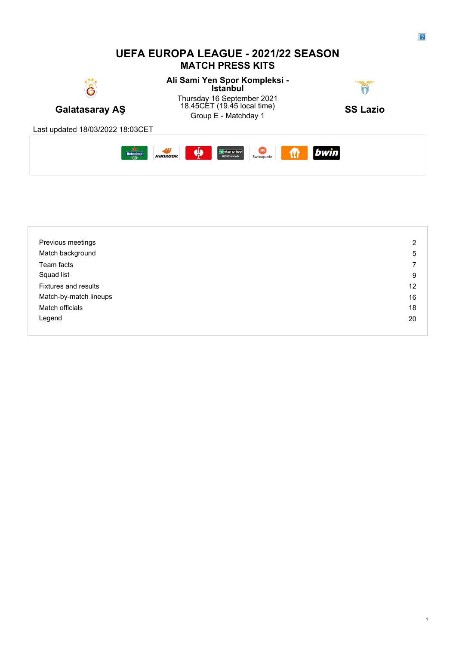## **UEFA EUROPA LEAGUE - 2021/22 SEASON MATCH PRESS KITS**

**Ali Sami Yen Spor Kompleksi - Istanbul** Thursday 16 September 2021



Galatasaray AŞ (19.43 Galatasaray AS 18.45CET (19.45 local time)  $\begin{array}{ccc} 1 & 0 & \mathbf{S} \\ \mathbf{S} & \mathbf{S} & \mathbf{S} \end{array}$ 45CET (19.45 local time) **SS Lazio**<br>Group E - Matchday 1

Last updated 18/03/2022 18:03CET



| Previous meetings           | 2  |
|-----------------------------|----|
| Match background            | 5  |
| Team facts                  | ⇁  |
| Squad list                  | 9  |
| <b>Fixtures and results</b> | 12 |
| Match-by-match lineups      | 16 |
| Match officials             | 18 |
| Legend                      | 20 |
|                             |    |

1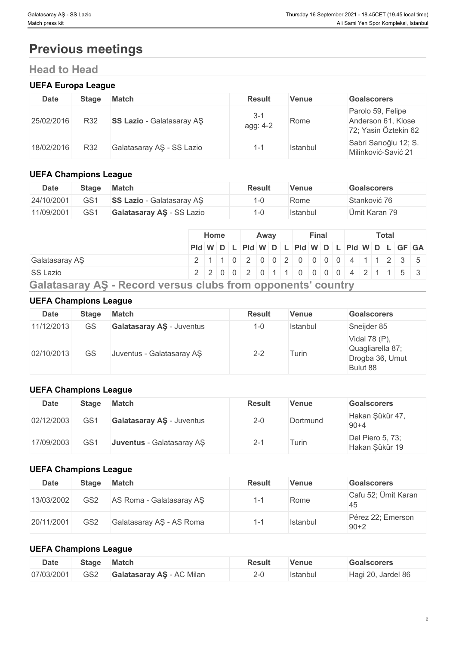# **Previous meetings**

# **Head to Head**

#### **UEFA Europa League**

| Date       | <b>Stage</b> | <b>Match</b>                     | <b>Result</b>       | Venue    | <b>Goalscorers</b>                                              |
|------------|--------------|----------------------------------|---------------------|----------|-----------------------------------------------------------------|
| 25/02/2016 | R32          | <b>SS Lazio</b> - Galatasaray AS | $3 - 1$<br>agg: 4-2 | Rome     | Parolo 59, Felipe<br>Anderson 61, Klose<br>72; Yasin Öztekin 62 |
| 18/02/2016 | R32          | Galatasaray AŞ - SS Lazio        | $\overline{ }$      | Istanbul | Sabri Sarıoğlu 12; S.<br>Milinković-Savić 21                    |

#### **UEFA Champions League**

| <b>Date</b> | <b>Stage</b>    | <b>Match</b>                     | <b>Result</b> | Venue    | <b>Goalscorers</b> |
|-------------|-----------------|----------------------------------|---------------|----------|--------------------|
| 24/10/2001  | GS1             | <b>SS Lazio</b> - Galatasaray AS |               | Rome     | Stanković 76       |
| 11/09/2001  | GS <sub>1</sub> | Galatasaray AS - SS Lazio        |               | Istanbul | Ümit Karan 79      |

|                                                                     | <b>Home</b>                                             |  | Away |  | Final |  |  | Total |  |  |
|---------------------------------------------------------------------|---------------------------------------------------------|--|------|--|-------|--|--|-------|--|--|
|                                                                     | Pid W D L Pid W D L Pid W D L Pid W D L Pid W D L GF GA |  |      |  |       |  |  |       |  |  |
| Galatasaray AS                                                      | 2 1 1 0 2 0 0 2 0 0 0 0 0 1 4 1 1 2 3 5                 |  |      |  |       |  |  |       |  |  |
| <b>SS Lazio</b>                                                     | 2 2 0 0 2 0 1 1 0 0 0 0 4 2 1 1 5 3                     |  |      |  |       |  |  |       |  |  |
| <b>Galatasaray AS - Record versus clubs from opponents' country</b> |                                                         |  |      |  |       |  |  |       |  |  |

#### **UEFA Champions League**

| <b>Date</b> | <b>Stage</b> | <b>Match</b>                     | <b>Result</b> | <b>Venue</b> | <b>Goalscorers</b>                                               |
|-------------|--------------|----------------------------------|---------------|--------------|------------------------------------------------------------------|
| 11/12/2013  | <b>GS</b>    | <b>Galatasaray AS - Juventus</b> | $1 - 0$       | Istanbul     | Sneijder 85                                                      |
| 02/10/2013  | GS           | Juventus - Galatasaray AŞ        | $2 - 2$       | Turin        | Vidal 78 (P),<br>Quagliarella 87;<br>Drogba 36, Umut<br>Bulut 88 |

### **UEFA Champions League**

| Date       | <b>Stage</b> | <b>Match</b>              | <b>Result</b> | <b>Venue</b> | <b>Goalscorers</b>                 |
|------------|--------------|---------------------------|---------------|--------------|------------------------------------|
| 02/12/2003 | GS1          | Galatasaray AŞ - Juventus | $2 - 0$       | Dortmund     | Hakan Şükür 47,<br>$90 + 4$        |
| 17/09/2003 | GS1          | Juventus - Galatasaray AŞ | ا −ے          | Turin        | Del Piero 5, 73;<br>Hakan Şükür 19 |

#### **UEFA Champions League**

| Date       | Stage           | <b>Match</b>             | <b>Result</b> | Venue    | <b>Goalscorers</b>            |
|------------|-----------------|--------------------------|---------------|----------|-------------------------------|
| 13/03/2002 | GS <sub>2</sub> | AS Roma - Galatasaray AS | 1-1           | Rome     | Cafu 52; Ümit Karan<br>45     |
| 20/11/2001 | GS <sub>2</sub> | Galatasaray AŞ - AS Roma |               | Istanbul | Pérez 22; Emerson<br>$90 + 2$ |

#### **UEFA Champions League**

| <b>Date</b> | Stage | <b>Match</b>                 | Result | Venue           | <b>Goalscorers</b>                  |
|-------------|-------|------------------------------|--------|-----------------|-------------------------------------|
| 07/03/2001  | GS2   | - AC Milan<br>Galatasarav AS |        | <b>Istanbul</b> | Jardel 86<br>$^{\circ}$ 20.<br>naur |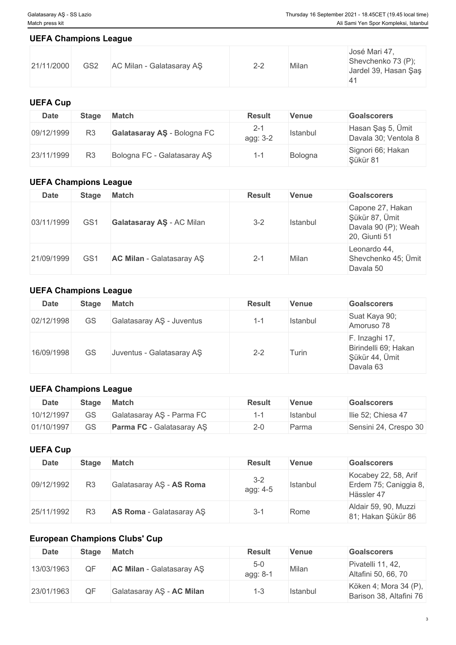#### **UEFA Champions League**

| José Mari 47,<br>Shevchenko 73 (P);<br>GS <sub>2</sub><br>21/11/2000<br>AC Milan - Galatasaray AS<br>$2 - 2$<br>Milan<br>Jardel 39, Hasan Şaş |
|-----------------------------------------------------------------------------------------------------------------------------------------------|

### **UEFA Cup**

| Date       | Stage | <b>Match</b>                | <b>Result</b>       | Venue    | <b>Goalscorers</b>                        |
|------------|-------|-----------------------------|---------------------|----------|-------------------------------------------|
| 09/12/1999 | R3    | Galatasaray AS - Bologna FC | $2 - 1$<br>agg: 3-2 | Istanbul | Hasan Şaş 5, Ümit<br>Davala 30; Ventola 8 |
| 23/11/1999 | R3    | Bologna FC - Galatasaray AS | 1 - 1               | Bologna  | Signori 66; Hakan<br>Sükür 81             |

# **UEFA Champions League**

| <b>Date</b> | <b>Stage</b>    | <b>Match</b>              | <b>Result</b> | <b>Venue</b> | <b>Goalscorers</b>                                                         |
|-------------|-----------------|---------------------------|---------------|--------------|----------------------------------------------------------------------------|
| 03/11/1999  | GS <sub>1</sub> | Galatasaray AŞ - AC Milan | $3 - 2$       | Istanbul     | Capone 27, Hakan<br>Şükür 87, Ümit<br>Davala 90 (P); Weah<br>20, Giunti 51 |
| 21/09/1999  | GS <sub>1</sub> | AC Milan - Galatasaray AS | $2 - 1$       | Milan        | Leonardo 44,<br>Shevchenko 45; Ümit<br>Davala 50                           |

# **UEFA Champions League**

| <b>Date</b> | <b>Stage</b> | <b>Match</b>              | <b>Result</b>            | <b>Venue</b> | <b>Goalscorers</b>                                                    |
|-------------|--------------|---------------------------|--------------------------|--------------|-----------------------------------------------------------------------|
| 02/12/1998  | GS           | Galatasaray AŞ - Juventus | $\sim$<br>$\overline{ }$ | Istanbul     | Suat Kaya 90;<br>Amoruso 78                                           |
| 16/09/1998  | GS           | Juventus - Galatasaray AŞ | $2 - 2$                  | Turin        | F. Inzaghi 17,<br>Birindelli 69; Hakan<br>Şükür 44, Ümit<br>Davala 63 |

#### **UEFA Champions League**

| Date       | <b>Stage</b> | <b>Match</b>                     | <b>Result</b> | <b>Venue</b> | <b>Goalscorers</b>    |
|------------|--------------|----------------------------------|---------------|--------------|-----------------------|
| 10/12/1997 | GS           | Galatasaray AŞ - Parma FC        |               | Istanbul     | Ilie 52; Chiesa 47    |
| 01/10/1997 | GS           | <b>Parma FC</b> - Galatasaray AS | $2 - 0$       | Parma        | Sensini 24, Crespo 30 |

# **UEFA Cup**

| Date       | <b>Stage</b>   | <b>Match</b>             | <b>Result</b>       | Venue    | <b>Goalscorers</b>                                          |
|------------|----------------|--------------------------|---------------------|----------|-------------------------------------------------------------|
| 09/12/1992 | R <sub>3</sub> | Galatasaray AS - AS Roma | $3 - 2$<br>agg: 4-5 | Istanbul | Kocabey 22, 58, Arif<br>Erdem 75; Caniggia 8,<br>Hässler 47 |
| 25/11/1992 | R <sub>3</sub> | AS Roma - Galatasaray AS | $3 - 1$             | Rome     | Aldair 59, 90, Muzzi<br>81; Hakan Şükür 86                  |

# **European Champions Clubs' Cup**

| Date       | <b>Stage</b> | <b>Match</b>                     | <b>Result</b>       | ∀enue    | <b>Goalscorers</b>                               |
|------------|--------------|----------------------------------|---------------------|----------|--------------------------------------------------|
| 13/03/1963 | ΩF           | <b>AC Milan</b> - Galatasaray AS | $5 - 0$<br>agg: 8-1 | Milan    | Pivatelli 11, 42,<br>Altafini 50, 66, 70         |
| 23/01/1963 | <b>OF</b>    | Galatasaray AŞ - AC Milan        | $1 - 3$             | Istanbul | Köken 4; Mora 34 (P),<br>Barison 38, Altafini 76 |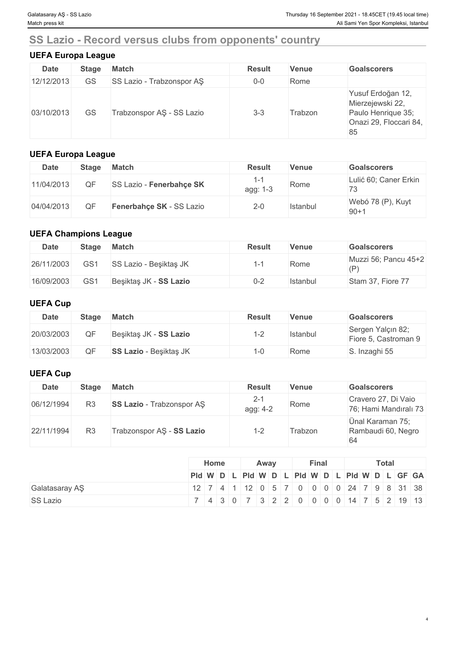# **SS Lazio - Record versus clubs from opponents' country**

### **UEFA Europa League**

| <b>Date</b> | <b>Stage</b> | <b>Match</b>              | <b>Result</b> | <b>Venue</b> | <b>Goalscorers</b>                                                                          |
|-------------|--------------|---------------------------|---------------|--------------|---------------------------------------------------------------------------------------------|
| 12/12/2013  | GS           | SS Lazio - Trabzonspor AS | $0-0$         | Rome         |                                                                                             |
| 03/10/2013  | GS           | Trabzonspor AŞ - SS Lazio | $3 - 3$       | Trabzon      | Yusuf Erdoğan 12,<br>Mierzejewski 22,<br>Paulo Henrique 35;<br>Onazi 29, Floccari 84,<br>85 |

#### **UEFA Europa League**

| Date       | Stage | <b>Match</b>                    | <b>Result</b>   | Venue    | <b>Goalscorers</b>          |
|------------|-------|---------------------------------|-----------------|----------|-----------------------------|
| 11/04/2013 | JЕ    | <b>SS Lazio - Fenerbahçe SK</b> | 1-1<br>agg: 1-3 | Rome     | Lulić 60; Caner Erkin<br>73 |
| 04/04/2013 | ОF    | Fenerbahce SK - SS Lazio        | $2 - 0$         | Istanbul | Webó 78 (P), Kuyt<br>$90+1$ |

### **UEFA Champions League**

| <b>Date</b> | <b>Stage</b> | <b>Match</b>           | <b>Result</b> | Venue    | <b>Goalscorers</b>          |
|-------------|--------------|------------------------|---------------|----------|-----------------------------|
| 26/11/2003  | GS1          | SS Lazio - Besiktas JK | 1-1           | Rome     | Muzzi 56; Pancu 45+2<br>(P) |
| 16/09/2003  | GS1          | Beşiktaş JK - SS Lazio | $0 - 2$       | Istanbul | Stam 37, Fiore 77           |

#### **UEFA Cup**

| <b>Date</b> | Stage | <b>Match</b>                  | <b>Result</b> | Venue    | <b>Goalscorers</b>                        |
|-------------|-------|-------------------------------|---------------|----------|-------------------------------------------|
| 20/03/2003  | QF    | Beşiktaş JK - SS Lazio        | ≞−∟           | Istanbul | Sergen Yalçın 82;<br>Fiore 5, Castroman 9 |
| 13/03/2003  | OF    | <b>SS Lazio</b> - Beşiktaş JK | l-C           | Rome     | S. Inzaghi 55                             |

### **UEFA Cup**

| <b>Date</b> | <b>Stage</b>   | <b>Match</b>                     | <b>Result</b>       | Venue   | <b>Goalscorers</b>                           |
|-------------|----------------|----------------------------------|---------------------|---------|----------------------------------------------|
| 06/12/1994  | R <sub>3</sub> | <b>SS Lazio</b> - Trabzonspor AS | $2 - 1$<br>agg: 4-2 | Rome    | Cravero 27, Di Vaio<br>76; Hami Mandıralı 73 |
| 22/11/1994  | R <sub>3</sub> | Trabzonspor AŞ - SS Lazio        | $1 - 2$             | Trabzon | Ünal Karaman 75;<br>Rambaudi 60, Negro<br>64 |

|                 | Home | Away | Final | Total                                         |
|-----------------|------|------|-------|-----------------------------------------------|
|                 |      |      |       | Pid W D L Pid W D L Pid W D L Pid W D L GF GA |
| Galatasaray AŞ  |      |      |       | 12 7 4 1 2 0 5 7 0 0 0 0 24 7 9 8 31 38       |
| <b>SS Lazio</b> |      |      |       | 7 4 3 0 7 3 2 2 0 0 0 0 14 7 5 2 19 13        |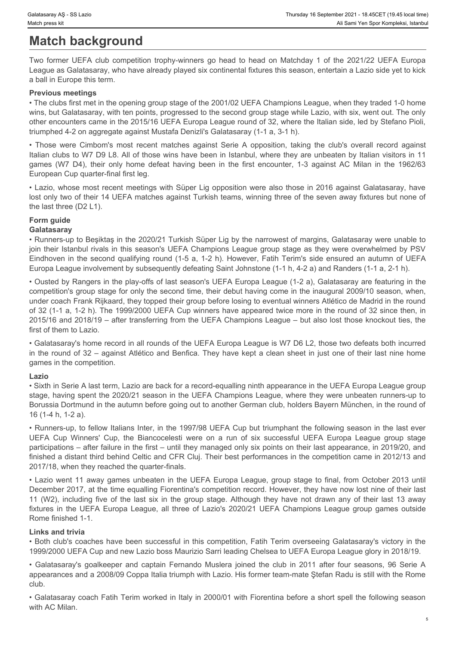# **Match background**

League as Galatasaray, who have already played six continental fixtures this season, entertain a Lazio side yet to kick a ball in Europe this term.

#### **Previous meetings**

Thursday 16 September 2021 - 18.45CET (19.45 local time)<br>Match press kit<br>Two former UEFA club competition trophy-winners go head to head on Matchday 1 of the 2021/22 UEFA Europa<br>League as Galatsarary, who have already play • The clubs first met in the opening group stage of the 2001/02 UEFA Champions League, when they traded 1-0 home wins, but Galatasaray, with ten points, progressed to the second group stage while Lazio, with six, went out. The only other encounters came in the 2015/16 UEFA Europa League round of 32, where the Italian side, led by Stefano Pioli, triumphed 4-2 on aggregate against Mustafa Denizli's Galatasaray (1-1 a, 3-1 h).

Frances were Cimbom's most recent matches against Series above also the seven away fixtures but and Calculate agains and Calculate Series (19.48 but Thom The Series Computers and the COLO (The COLO (The COLO COLO COLO COLO Italian clubs to W7 D9 L8. All of those wins have been in Istanbul, where they are unbeaten by Italian visitors in 11 Thunsay is September 2021 - 18,460cm Thunsay is September 2021 - 18,460cm Milan in the Space of the Societion<br>
Two former UEFA club competition trophy-winners go head to head on Matchday 1 of the 2021/22 UEFA Europa<br>
Two f European Cup quarter-final first leg.

• Lazio, whose most recent meetings with Süper Lig opposition were also those in 2016 against Galatasaray, have lost only two of their 14 UEFA matches against Turkish teams, winning three of the seven away fixtures but none of the last three (D2 L1).

## **Form guide**

#### **Galatasaray**

• Runners-up to Beşiktaş in the 2020/21 Turkish Süper Lig by the narrowest of margins, Galatasaray were unable to join their Istanbul rivals in this season's UEFA Champions League group stage as they were overwhelmed by PSV Eindhoven in the second qualifying round (1-5 a, 1-2 h). However, Fatih Terim's side ensured an autumn of UEFA Europa League involvement by subsequently defeating Saint Johnstone (1-1 h, 4-2 a) and Randers (1-1 a, 2-1 h).

• Ousted by Rangers in the play-offs of last season's UEFA Europa League (1-2 a), Galatasaray are featuring in the competition's group stage for only the second time, their debut having come in the inaugural 2009/10 season, when, under coach Frank Rijkaard, they topped their group before losing to eventual winners Atlético de Madrid in the round of 32 (1-1 a, 1-2 h). The 1999/2000 UEFA Cup winners have appeared twice more in the round of 32 since then, in 2015/16 and 2018/19 – after transferring from the UEFA Champions League – but also lost those knockout ties, the first of them to Lazio. Loop and Columeters', who have already played six confinential follows this season, entertain a Lazio side yet to kide.<br>The biancies were finding to the poemic group stage of the 2001ri22 UEFA Changeons League, when they t thrombed 42 on a group to the last six including for the last six in the last six including five of the last six including and the last six in the last six in the group stage. The methods and the last six in the group of t - Those were Combey's most except in the UEFA Europa League (3.42) and this were the UEFA Europa League (3.42) and the UEFA Europa League group and the UEFA Europa League (WT 2A), the layer is three of Laziot and the UEFA ioni control is the state of the conference and captain Fernando Musler and captain Fernando Musler and captain Fernando Musler Conference and captain Fernando Musler Fernando Musler Fernando Musler Fernando Musler Fernand

• Galatasaray's home record in all rounds of the UEFA Europa League is W7 D6 L2, those two defeats both incurred in the round of 32 – against Atlético and Benfica. They have kept a clean sheet in just one of their last nine home games in the competition.

#### **Lazio**

• Sixth in Serie A last term, Lazio are back for a record-equalling ninth appearance in the UEFA Europa League group stage, having spent the 2020/21 season in the UEFA Champions League, where they were unbeaten runners-up to Borussia Dortmund in the autumn before going out to another German club, holders Bayern München, in the round of 16 (1-4 h, 1-2 a).

• Runners-up, to fellow Italians Inter, in the 1997/98 UEFA Cup but triumphant the following season in the last ever participations – after failure in the first – until they managed only six points on their last appearance, in 2019/20, and finished a distant third behind Celtic and CFR Cluj. Their best performances in the competition came in 2012/13 and 2017/18, when they reached the quarter-finals.

• Lazio went 11 away games unbeaten in the UEFA Europa League, group stage to final, from October 2013 until December 2017, at the time equalling Fiorentina's competition record. However, they have now lost nine of their last Rome finished 1-1.

#### **Links and trivia**

• Both club's coaches have been successful in this competition, Fatih Terim overseeing Galatasaray's victory in the 1999/2000 UEFA Cup and new Lazio boss Maurizio Sarri leading Chelsea to UEFA Europa League glory in 2018/19.

appearances and a 2008/09 Coppa Italia triumph with Lazio. His former team-mate Ştefan Radu is still with the Rome club. The contract of the contract of the contract of the contract of the contract of the contract of the contract of the contract of the contract of the contract of the contract of the contract of the contract of the cont

• Galatasaray coach Fatih Terim worked in Italy in 2000/01 with Fiorentina before a short spell the following season with AC Milan.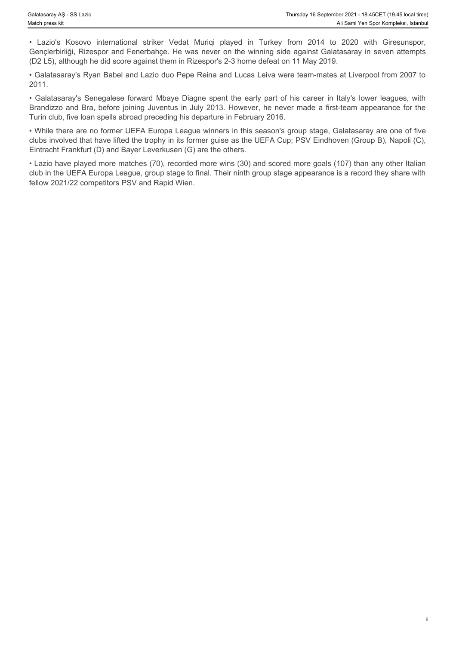Gençlerbirliği, Rizespor and Fenerbahçe. He was never on the winning side against Galatasaray in seven attempts (D2 L5), although he did score against them in Rizespor's 2-3 home defeat on 11 May 2019.

• Galatasaray's Ryan Babel and Lazio duo Pepe Reina and Lucas Leiva were team-mates at Liverpool from 2007 to 2011.

Fluisday 18 September 2021 - 18.45CET (19.45 local time)<br>
Match press kit<br>
• Lazio's Kosovo international striker Vedat Muriqi played in Turkey from 2014 to 2020 with Giresunspor,<br>
Genclerbirliği, Rizespor and Fenerbahçe. Brandizzo and Bra, before joining Juventus in July 2013. However, he never made a first-team appearance for the Turin club, five loan spells abroad preceding his departure in February 2016.

• While there are no former UEFA Europa League winners in this season's group stage, Galatasaray are one of five clubs involved that have lifted the trophy in its former guise as the UEFA Cup; PSV Eindhoven (Group B), Napoli (C), Eintracht Frankfurt (D) and Bayer Leverkusen (G) are the others.

Franklate Solution Solution and Striker Vedat Muriqi played in Turkey from 2014 to 2020 with Giresunspor,<br>
• Lazio's Kosovo international striker Vedat Muriqi played in Turkey from 2014 to 2020 with Giresunspor,<br>
Gencierbi • Lazio have played more matches (70), recorded more wins (30) and scored more goals (107) than any other Italian club in the UEFA Europa League, group stage to final. Their ninth group stage appearance is a record they share with fellow 2021/22 competitors PSV and Rapid Wien.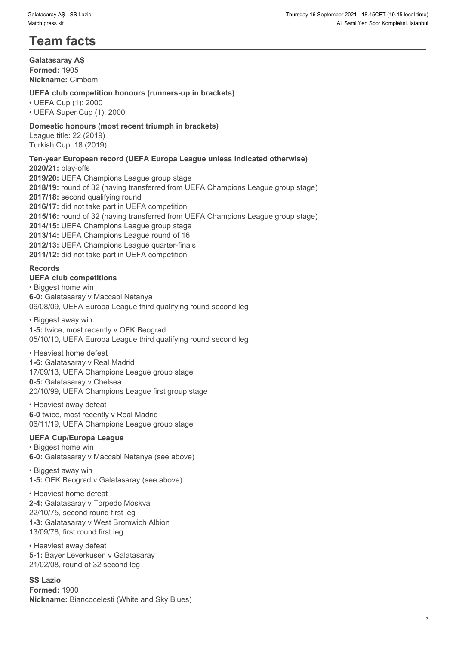# **Team facts**

**Galatasaray AŞ Formed:** 1905 **Nickname:** Cimbom

#### **UEFA club competition honours (runners-up in brackets)**

• UEFA Cup (1): 2000 • UEFA Super Cup (1): 2000

#### **Domestic honours (most recent triumph in brackets)**

League title: 22 (2019) Turkish Cup: 18 (2019)

#### **Ten-year European record (UEFA Europa League unless indicated otherwise)**

**2020/21:** play-offs **2019/20:** UEFA Champions League group stage **2018/19:** round of 32 (having transferred from UEFA Champions League group stage) **2017/18:** second qualifying round **2016/17:** did not take part in UEFA competition **2015/16:** round of 32 (having transferred from UEFA Champions League group stage) **2014/15:** UEFA Champions League group stage **2013/14:** UEFA Champions League round of 16 **2012/13:** UEFA Champions League quarter-finals **2011/12:** did not take part in UEFA competition

#### **Records**

#### **UEFA club competitions**

• Biggest home win **6-0:** Galatasaray v Maccabi Netanya 06/08/09, UEFA Europa League third qualifying round second leg

#### • Biggest away win

**1-5:** twice, most recently v OFK Beograd 05/10/10, UEFA Europa League third qualifying round second leg

#### • Heaviest home defeat

**1-6:** Galatasaray v Real Madrid 17/09/13, UEFA Champions League group stage **0-5:** Galatasaray v Chelsea 20/10/99, UEFA Champions League first group stage

• Heaviest away defeat **6-0** twice, most recently v Real Madrid 06/11/19, UEFA Champions League group stage

#### **UEFA Cup/Europa League**

• Biggest home win **6-0:** Galatasaray v Maccabi Netanya (see above)

• Biggest away win **1-5:** OFK Beograd v Galatasaray (see above)

• Heaviest home defeat **2-4:** Galatasaray v Torpedo Moskva 22/10/75, second round first leg **1-3:** Galatasaray v West Bromwich Albion 13/09/78, first round first leg

• Heaviest away defeat **5-1:** Bayer Leverkusen v Galatasaray 21/02/08, round of 32 second leg

**SS Lazio Formed:** 1900 **Nickname:** Biancocelesti (White and Sky Blues)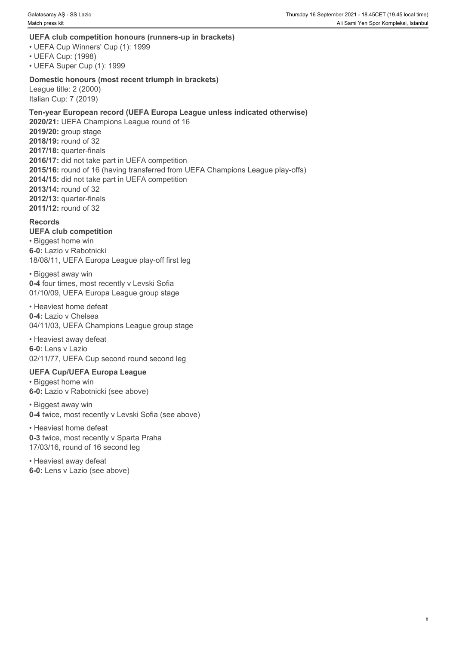#### **UEFA club competition honours (runners-up in brackets)**

- UEFA Cup Winners' Cup (1): 1999
- UEFA Cup: (1998)

• UEFA Super Cup (1): 1999

#### **Domestic honours (most recent triumph in brackets)**

League title: 2 (2000) Italian Cup: 7 (2019)

#### **Ten-year European record (UEFA Europa League unless indicated otherwise) 2020/21:** UEFA Champions League round of 16 **2019/20:** group stage **2018/19:** round of 32 **2017/18:** quarter-finals **2016/17:** did not take part in UEFA competition **2015/16:** round of 16 (having transferred from UEFA Champions League play-offs) **2014/15:** did not take part in UEFA competition **2013/14:** round of 32 **2012/13:** quarter-finals

**2011/12:** round of 32

#### **Records**

**UEFA club competition** • Biggest home win **6-0:** Lazio v Rabotnicki 18/08/11, UEFA Europa League play-off first leg

• Biggest away win **0-4** four times, most recently v Levski Sofia 01/10/09, UEFA Europa League group stage

• Heaviest home defeat **0-4:** Lazio v Chelsea 04/11/03, UEFA Champions League group stage

• Heaviest away defeat **6-0:** Lens v Lazio 02/11/77, UEFA Cup second round second leg

#### **UEFA Cup/UEFA Europa League**

• Biggest home win **6-0:** Lazio v Rabotnicki (see above)

• Biggest away win **0-4** twice, most recently v Levski Sofia (see above)

• Heaviest home defeat **0-3** twice, most recently v Sparta Praha 17/03/16, round of 16 second leg

• Heaviest away defeat **6-0:** Lens v Lazio (see above)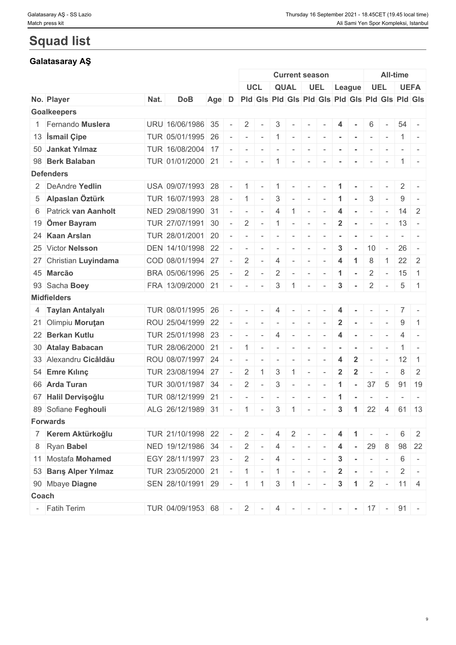# **Squad list**

# **Galatasaray AŞ**

|                        |      |                                               |       |                 |                                                                |                |                  | <b>Current season</b>                                                                                         |                          |                          |                      |                 |                |                                       | All-time     |                |
|------------------------|------|-----------------------------------------------|-------|-----------------|----------------------------------------------------------------|----------------|------------------|---------------------------------------------------------------------------------------------------------------|--------------------------|--------------------------|----------------------|-----------------|----------------|---------------------------------------|--------------|----------------|
|                        |      |                                               |       |                 |                                                                | UCL            |                  | <b>QUAL</b>                                                                                                   |                          | UEL                      |                      | League          |                | <b>UEL</b>                            |              | <b>UEFA</b>    |
| No. Player             | Nat. | <b>DoB</b>                                    | Age D |                 |                                                                |                |                  | Pid Gis Pid Gis Pid Gis Pid Gis Pid Gis Pid Gis                                                               |                          |                          |                      |                 |                |                                       |              |                |
| <b>Goalkeepers</b>     |      |                                               |       |                 |                                                                |                |                  |                                                                                                               |                          |                          |                      |                 |                |                                       |              |                |
| 1 Fernando Muslera     |      | URU 16/06/1986 35                             |       | $\sim$          | $2 \mid$                                                       | $\sim$         | 3                | $\sim$                                                                                                        | $\sim$                   |                          |                      |                 | 6              |                                       | $54 -$       |                |
| 13 Ismail Çipe         |      | TUR 05/01/1995 26                             |       | $\sim$          | $1 - 1 - 1$                                                    |                |                  | $ 1 $ $     -$                                                                                                |                          |                          |                      | $\sim$ $-$      | $\sim$         | $\sim$                                |              | $1 -$          |
| 50 Jankat Yılmaz       |      | TUR 16/08/2004 17                             |       |                 | the property of the con-                                       |                | $-1 - 1 - 1 = 0$ |                                                                                                               | $\mathbf{1}$             |                          |                      |                 |                |                                       |              |                |
| 98 Berk Balaban        |      | TUR 01/01/2000 21 - - - 1 - 1 -               |       |                 |                                                                |                |                  |                                                                                                               |                          | $\sim$                   | $\sim$               | $\sim$          | $\sim$         | $\sim$                                |              | $1 -$          |
| <b>Defenders</b>       |      |                                               |       |                 |                                                                |                |                  |                                                                                                               |                          |                          |                      |                 |                |                                       |              |                |
| 2 DeAndre Yedlin       |      | USA 09/07/1993 28                             |       | $\sim$          | $1 -$                                                          |                | $\mathbf{1}$     | $\sim$                                                                                                        |                          |                          |                      |                 |                |                                       | 2            |                |
| 5 Alpaslan Öztürk      |      | TUR $16/07/1993$ 28 - 1 -                     |       |                 |                                                                |                | 3                | $\sim$                                                                                                        | $\mathbf{I}$             | $\sim$                   | $\blacktriangleleft$ | $\sim$          | 3              |                                       | 9            |                |
| 6 Patrick van Aanholt  |      | NED 29/08/1990 31                             |       |                 |                                                                |                | 4                |                                                                                                               | $1 - 1$                  |                          | 4                    | $\sim$          | $\sim$         | $\sim$                                | 14           | 2              |
| 19 Ömer Bayram         |      | TUR 27/07/1991 30                             |       | $\sim$ $-$      |                                                                | $2$ -          | 1                | $\sim$                                                                                                        | $\mathbf{r}$             | $\sim$                   | $\mathbf{2}$         |                 | $\sim$         | $\sim$                                | $13 -$       |                |
| 24 Kaan Arslan         |      | TUR 28/01/2001 20                             |       | $\sim$ $ \sim$  | $\sim$                                                         | $\sim$         | $\sim$           | $\sim$                                                                                                        | $\sim$                   |                          |                      |                 |                |                                       |              |                |
| 25 Victor Nelsson      |      | DEN 14/10/1998 22                             |       |                 | the contract of the contract of                                |                |                  |                                                                                                               |                          | $\overline{\phantom{a}}$ | 3                    |                 | 10             | $\sim$                                | 26           | $\sim$         |
| 27 Christian Luyindama |      | COD 08/01/1994 27                             |       | $\sim$          | 2                                                              | $\sim$         | $\overline{4}$   | $\sim$                                                                                                        | $\sim$                   | $\overline{\phantom{a}}$ | $\overline{4}$       | $\overline{1}$  | 8              | $\overline{1}$                        | $22 \quad 2$ |                |
| 45 Marcão              |      | BRA 05/06/1996 25                             |       | $\sim$ $-$      | 2                                                              | $\sim$         | 2                | $\sim$                                                                                                        | $\vert \cdot \vert$      | $\sim$                   | $\blacktriangleleft$ | $\sim$          | $\overline{2}$ | $\sim$                                | $15$ 1       |                |
| 93 Sacha Boey          |      | FRA 13/09/2000 21 - - -                       |       |                 |                                                                |                | $\mathbf{3}$     | $\vert 1 \vert$ -                                                                                             |                          | $\sim$                   | $\mathbf{3}$         | $\sim$          | $\overline{2}$ | $\mathbb{E}[\cdot]=\mathbb{E}[\cdot]$ | 5            | $\vert$ 1      |
| <b>Midfielders</b>     |      |                                               |       |                 |                                                                |                |                  |                                                                                                               |                          |                          |                      |                 |                |                                       |              |                |
| 4 Taylan Antalyalı     |      | TUR 08/01/1995 26                             |       | $\sim$          | $\sim$                                                         | $\sim$         | 4                |                                                                                                               |                          |                          |                      |                 |                |                                       |              |                |
| 21 Olimpiu Morutan     |      | ROU 25/04/1999 22                             |       | $\sim$          | $\sim$                                                         | $\sim$         | $\sim$           | $\sim$                                                                                                        | $\sim$                   | $\overline{\phantom{a}}$ | $\overline{2}$       |                 |                |                                       | 9            | $\overline{1}$ |
| 22 Berkan Kutlu        |      | TUR 25/01/1998 23                             |       |                 | $\mathcal{A}=\{1,2,3,4,5\}$                                    | $\mathbf{r}$   | $\overline{4}$   |                                                                                                               |                          | $\sim$                   | 4                    | $\sim$          |                |                                       | 4            | $\sim$         |
| 30 Atalay Babacan      |      | TUR 28/06/2000 21                             |       | $\sim$ 10 $\pm$ | 1                                                              | $\sim$         | $\sim$           | $\sim$                                                                                                        | $\sim$                   | $\sim$                   |                      |                 |                |                                       |              | $1 -$          |
| 33 Alexandru Cicâldău  |      | ROU 08/07/1997 24                             |       | $\sim$          | $\sim$                                                         | $\sim$         | $\sim$           | $\sim$                                                                                                        | $\overline{\phantom{a}}$ |                          | ◢                    | $\mathbf{2}$    |                |                                       | 12           | $\overline{1}$ |
| 54 Emre Kılınç         |      | TUR 23/08/1994 27                             |       | $\sim$          | $\overline{2}$                                                 | $\overline{1}$ | 3                | $\mathbf{1}$                                                                                                  | $\sim$                   | $\overline{\phantom{a}}$ | $\mathbf{2}$         | $\mathbf{2}$    |                |                                       | 8            | 2              |
| 66 Arda Turan          |      |                                               |       |                 |                                                                |                |                  |                                                                                                               |                          |                          |                      |                 | 37             | $5\overline{5}$                       |              |                |
|                        |      | TUR 30/01/1987 34                             |       | $\sim$          | $\overline{2}$                                                 | $\sim$         | 3                | $\sim$                                                                                                        | $\sim$                   | $\sim$                   | $\blacktriangleleft$ | $\sim$          |                |                                       |              | $91 \mid 19$   |
| 67 Halil Dervişoğlu    |      | TUR 08/12/1999 21                             |       | $\sim$          | $\sim$                                                         | $\sim$         | $\sim$           | $\sim$                                                                                                        | $\overline{a}$           |                          |                      |                 |                |                                       |              | $\sim$         |
| 89 Sofiane Feghouli    |      | ALG 26/12/1989 31                             |       |                 | $-11 -$                                                        |                | $3\phantom{.0}$  | 1                                                                                                             | $\sim$                   | $\sim$                   | $\mathbf{3}$         | $\overline{1}$  | $22 \mid 4$    |                                       |              | $61$ 13        |
| <b>Forwards</b>        |      |                                               |       |                 |                                                                |                |                  |                                                                                                               |                          |                          |                      |                 |                |                                       |              |                |
| 7 Kerem Aktürkoğlu     |      | TUR 21/10/1998 22 -                           |       |                 | $\begin{array}{ c c c c c } \hline 2 & - \ \hline \end{array}$ |                | 4                | $2$ -                                                                                                         |                          |                          | $4 \mid 1$           |                 |                |                                       |              | 2              |
| 8 Ryan Babel           |      | NED 19/12/1986 34                             |       | $\sim$ $-$      |                                                                | $2$ -          | $\overline{4}$   | $\frac{1}{2}$ , $\frac{1}{2}$ , $\frac{1}{2}$ , $\frac{1}{2}$ , $\frac{1}{2}$ , $\frac{1}{2}$ , $\frac{1}{2}$ |                          |                          | 4                    | <b>Contract</b> | 29 8           |                                       |              | 98 22          |
| 11 Mostafa Mohamed     |      | EGY 28/11/1997 23                             |       | $\sim$ $-$      | $2 \mid$                                                       | $\sim$         | 4                |                                                                                                               | $\sim$ $-$               | $\sim$                   |                      | $3 - - - -$     |                |                                       | 6            | $\sim$         |
| 53 Barış Alper Yılmaz  |      | TUR $23/05/2000$ 21 - 1 -                     |       |                 |                                                                |                |                  | $ 1 - 1 - 1 - 1 - 1 $                                                                                         |                          |                          | $\overline{2}$       |                 |                |                                       |              | $2$ -          |
| 90 Mbaye Diagne        |      | SEN 28/10/1991 29 - 1 1 3                     |       |                 |                                                                |                |                  | $1 -$                                                                                                         |                          | $\sim$                   | $\mathbf{3}$         | $\overline{1}$  |                |                                       | $2 - 11$ 4   |                |
| Coach                  |      |                                               |       |                 |                                                                |                |                  |                                                                                                               |                          |                          |                      |                 |                |                                       |              |                |
| - Fatih Terim          |      | TUR 04/09/1953 68 - 2 - 4 - - - - - 17 - 91 - |       |                 |                                                                |                |                  |                                                                                                               |                          |                          |                      |                 |                |                                       |              |                |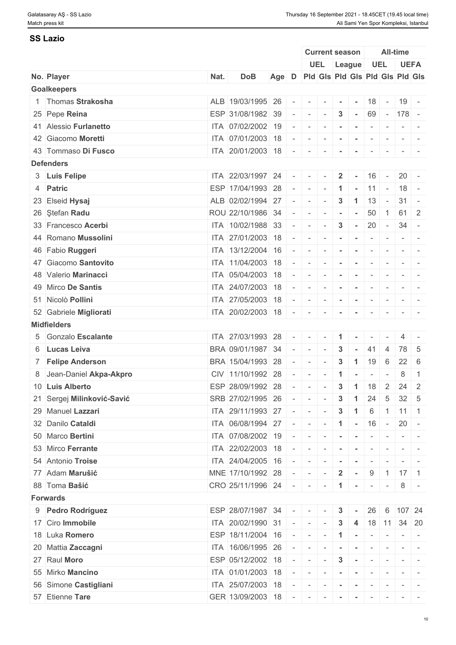#### **SS Lazio**

|                            |      |                           |       |                          |                          | <b>Current season</b>           |                      |                  |                          |                          | <b>All-time</b>                                                                               |                                                                                                              |
|----------------------------|------|---------------------------|-------|--------------------------|--------------------------|---------------------------------|----------------------|------------------|--------------------------|--------------------------|-----------------------------------------------------------------------------------------------|--------------------------------------------------------------------------------------------------------------|
|                            |      |                           |       |                          |                          | UEL League                      |                      |                  |                          | <b>UEL</b>               |                                                                                               | <b>UEFA</b>                                                                                                  |
| No. Player                 | Nat. | <b>DoB</b>                | Age D |                          |                          | Pld Gls Pld Gls Pld Gls Pld Gls |                      |                  |                          |                          |                                                                                               |                                                                                                              |
| <b>Goalkeepers</b>         |      |                           |       |                          |                          |                                 |                      |                  |                          |                          |                                                                                               |                                                                                                              |
| 1 Thomas Strakosha         |      | ALB 19/03/1995 26         |       | $\sim$                   | $\sim$                   | $\sim$                          | $\sim$               | $\sim$           | 18                       | $\sim$ $-$               |                                                                                               | $19 -$                                                                                                       |
| 25 Pepe Reina              |      | ESP 31/08/1982 39         |       | $\sim$                   | $\sim$                   | $\sim$                          | $\mathbf{3}$         | $\sim$           | 69                       |                          | $- 178 -$                                                                                     |                                                                                                              |
| 41 Alessio Furlanetto      |      | ITA 07/02/2002 19         |       | $\sim$                   | $\sim$                   |                                 | $\sim$               |                  | $\overline{\phantom{a}}$ | $\overline{\phantom{a}}$ | $\sim$                                                                                        |                                                                                                              |
| 42 Giacomo Moretti         |      | ITA 07/01/2003 18         |       | $\sim$                   | $\sim$                   | $\sim$                          | $\sim$               | $\sim$           | $\sim$                   | $\sim$                   |                                                                                               | $\mathcal{L} = \{ \mathcal{L} \mid \mathcal{L} = \mathcal{L} \}$                                             |
| 43 Tommaso Di Fusco        |      | ITA 20/01/2003 18         |       | $\sim$                   | $\sim$                   | $\sim$                          | $\blacksquare$       | $\sim$           | $\sim$                   |                          |                                                                                               |                                                                                                              |
| <b>Defenders</b>           |      |                           |       |                          |                          |                                 |                      |                  |                          |                          |                                                                                               |                                                                                                              |
| 3 Luis Felipe              |      | ITA 22/03/1997 24         |       | $\sim$                   | $\sim$                   |                                 | $\mathbf{2}$         |                  | 16                       | $\sim$                   |                                                                                               | $20 -$                                                                                                       |
| 4 Patric                   |      | ESP 17/04/1993 28         |       | $\sim$                   | $\sim$                   | $\sim$                          | $\mathbf 1$          | $\sim$ 10 $\pm$  | $11 -$                   |                          |                                                                                               | $18 -$                                                                                                       |
| 23 Elseid Hysaj            |      | ALB 02/02/1994 27         |       | $\sim$                   | $\overline{\phantom{a}}$ |                                 | $\mathbf{3}$         | $\mathbf{1}$     | 13                       | $\sim$                   | 31                                                                                            | $\sim$                                                                                                       |
| 26 Ştefan Radu             |      | ROU 22/10/1986 34         |       | $\overline{\phantom{a}}$ | $\overline{\phantom{a}}$ |                                 | $\blacksquare$       |                  | 50                       | $\mathbf{1}$             | 61                                                                                            | $\vert 2 \vert$                                                                                              |
| 33 Francesco Acerbi        |      | ITA 10/02/1988 33         |       | $\sim$                   | $\overline{\phantom{a}}$ | $\sim$                          | $\mathbf{3}$         | $\sim$           | 20                       | $\sim 10^{-1}$           |                                                                                               | $34 -$                                                                                                       |
| 44 Romano Mussolini        |      | ITA 27/01/2003 18         |       |                          | $\overline{\phantom{a}}$ | $\sim$                          | $\sim$               | $\sim$           | $\sim$                   | $\sim$                   |                                                                                               | $\mathcal{L} = \{ \mathcal{L} \mid \mathcal{L} = \mathcal{L} \}$                                             |
| 46 Fabio Ruggeri           |      | ITA 13/12/2004 16         |       | $\overline{\phantom{a}}$ | $\sim$                   |                                 |                      |                  | $\overline{\phantom{a}}$ |                          | $\overline{\phantom{a}}$                                                                      |                                                                                                              |
| 47 Giacomo Santovito       |      | ITA 11/04/2003 18         |       | $\overline{\phantom{a}}$ | $\sim$                   | $\sim$                          | $\sim$               | $\sim$ 100 $\pm$ | $\sim$                   | $\sim$                   |                                                                                               | $\mathcal{L} = \{ \mathcal{L} \mid \mathcal{L} = \mathcal{L} \}$                                             |
| 48 Valerio Marinacci       |      | ITA 05/04/2003 18         |       |                          | $\overline{\phantom{a}}$ | $\sim$                          | $\blacksquare$       |                  | $\sim$                   | $\overline{\phantom{a}}$ |                                                                                               |                                                                                                              |
| 49 Mirco De Santis         |      | ITA 24/07/2003 18         |       | $\overline{\phantom{a}}$ |                          |                                 |                      | $\sim$           | $\overline{\phantom{a}}$ | $\overline{\phantom{a}}$ |                                                                                               |                                                                                                              |
|                            |      |                           |       |                          | $\overline{\phantom{a}}$ |                                 | $\sim$               |                  |                          |                          | $\sim$                                                                                        |                                                                                                              |
| 51 Nicolò Pollini          |      | ITA 27/05/2003 18         |       | $\overline{\phantom{a}}$ | $\sim$                   | $\sim$                          | $\sim$               | $\sim$           | $\sim$                   | $\sim$                   | $\sim$                                                                                        |                                                                                                              |
| 52 Gabriele Migliorati     |      | ITA 20/02/2003 18         |       | $\sim$                   | $\sim$                   | $\sim$                          | $\blacksquare$       | $\sim$           | $\sim$                   | $\sim$                   |                                                                                               | $\mathcal{L} = \{ \mathcal{L} \mid \mathcal{L} = \mathcal{L} \}$                                             |
| <b>Midfielders</b>         |      |                           |       |                          |                          |                                 |                      |                  |                          |                          |                                                                                               |                                                                                                              |
| 5 Gonzalo Escalante        |      | ITA 27/03/1993 28         |       | $\sim$                   | $\sim$                   | $\overline{\phantom{a}}$        | $\blacktriangleleft$ |                  | $\overline{\phantom{a}}$ |                          | 4                                                                                             |                                                                                                              |
| 6 Lucas Leiva              |      | BRA 09/01/1987 34         |       |                          | $\overline{\phantom{a}}$ |                                 | 3                    |                  | 41                       | 4                        |                                                                                               | 78 5                                                                                                         |
| 7 Felipe Anderson          |      | BRA 15/04/1993            | 28    | $\overline{\phantom{a}}$ | $\overline{\phantom{a}}$ |                                 | $\mathbf{3}$         | 1                | 19                       | 6                        | 22                                                                                            | - 6                                                                                                          |
| 8 Jean-Daniel Akpa-Akpro   |      | CIV 11/10/1992 28         |       |                          | $\overline{\phantom{a}}$ |                                 |                      |                  | $\overline{\phantom{a}}$ | $\overline{\phantom{a}}$ | 8                                                                                             | $\overline{1}$                                                                                               |
| 10 Luis Alberto            |      | ESP 28/09/1992 28         |       |                          | $\overline{\phantom{a}}$ |                                 | $\mathbf{3}$         | $\mathbf{1}$     | 18                       | $\overline{2}$           | 24                                                                                            | $\overline{2}$                                                                                               |
| 21 Sergej Milinković-Savić |      | SRB 27/02/1995 26         |       | $\sim$                   | $\sim$                   | $\sim$                          | $\mathbf{3}$         | $\mathbf{1}$     | 24                       | 5                        |                                                                                               | $32 \mid 5$                                                                                                  |
| 29 Manuel Lazzari          |      | ITA 29/11/1993 27         |       | $\sim$                   | $\sim$                   |                                 | 3                    | -1               | 6                        | $\overline{1}$           |                                                                                               | $11 \mid 1$                                                                                                  |
| 32 Danilo Cataldi          |      | ITA 06/08/1994 27         |       | $\sim$                   | $\sim$                   | $\sim$                          |                      | $1 - 16$         |                          | $\sim 10^{-10}$          |                                                                                               | $20 -$                                                                                                       |
| 50 Marco Bertini           |      | ITA 07/08/2002 19         |       |                          | $\overline{\phantom{a}}$ |                                 |                      |                  |                          |                          |                                                                                               |                                                                                                              |
| 53 Mirco Ferrante          |      | ITA 22/02/2003 18         |       | $\sim$                   | $\sim$                   |                                 |                      |                  |                          |                          |                                                                                               |                                                                                                              |
| 54 Antonio Troise          |      | ITA 24/04/2005 16         |       | $\sim$                   | $\sim$                   | $\sim$                          | $\sim$               | $\sim$           | $\sim$                   | $\sim$ $-$               |                                                                                               | $\sim$ 100 $\sim$                                                                                            |
| 77 Adam Marušić            |      | MNE 17/10/1992 28         |       | $\overline{\phantom{a}}$ | $\sim$                   | $\sim$                          | $\overline{2}$       | $\sim$           | 9                        | $\vert$ 1                |                                                                                               | $17 \mid 1$                                                                                                  |
| 88 Toma Bašić              |      | CRO 25/11/1996 24 -       |       |                          | $\sim$                   |                                 |                      |                  | $\overline{\phantom{a}}$ | $\sim$                   | 8                                                                                             |                                                                                                              |
| <b>Forwards</b>            |      |                           |       |                          |                          |                                 |                      |                  |                          |                          |                                                                                               |                                                                                                              |
| 9 Pedro Rodríguez          |      | ESP 28/07/1987 34 -       |       |                          | $\sim$                   |                                 | 3                    |                  |                          |                          |                                                                                               | 26 6 107 24                                                                                                  |
| 17 Ciro Immobile           |      | ITA 20/02/1990 31         |       | $\sim$                   | $\sim$                   | $\sim$                          | $\mathbf{3}$         |                  |                          |                          |                                                                                               | 4   18   11   34   20                                                                                        |
| 18 Luka Romero             |      | ESP 18/11/2004 16         |       | $\sim$ $-$               | $\sim$                   |                                 |                      |                  | $\sim$                   |                          |                                                                                               | $ -$                                                                                                         |
| 20 Mattia Zaccagni         |      | ITA 16/06/1995 26         |       | $\sim$                   |                          |                                 |                      |                  |                          |                          |                                                                                               |                                                                                                              |
| 27 Raul Moro               |      |                           |       |                          | $\sim$                   | $\sim$                          | $\sim$               | $\sim$ $-$       |                          | $\sim$                   |                                                                                               | $\frac{1}{2} \left( \frac{1}{2} \right) \left( \frac{1}{2} \right) = \frac{1}{2} \left( \frac{1}{2} \right)$ |
|                            |      | ESP 05/12/2002 18         |       | $\sim$                   | $\sim$ $-$               | $\sim$                          | $\mathbf{3}$         | $\sim$           | $\sim$                   | $\sim$                   |                                                                                               | $\sim$ 100 $\sim$                                                                                            |
| 55 Mirko Mancino           |      | ITA 01/01/2003 18         |       | $\sim$                   | $\sim$                   |                                 |                      | $\sim$           | $\sim$                   |                          |                                                                                               |                                                                                                              |
| 56 Simone Castigliani      |      | ITA 25/07/2003 18         |       | $\sim$                   | $\sim$                   | $\sim$                          | $\sim$               | $\sim$           | $\sim$                   | $\sim$                   | $ -$                                                                                          |                                                                                                              |
| 57 Etienne Tare            |      | GER 13/09/2003 18 - - - - |       |                          |                          |                                 |                      |                  | the contract of the con- |                          | $\label{eq:1} \mathcal{L}(\mathcal{L}) = \mathcal{L}(\mathcal{L}) = \mathcal{L}(\mathcal{L})$ |                                                                                                              |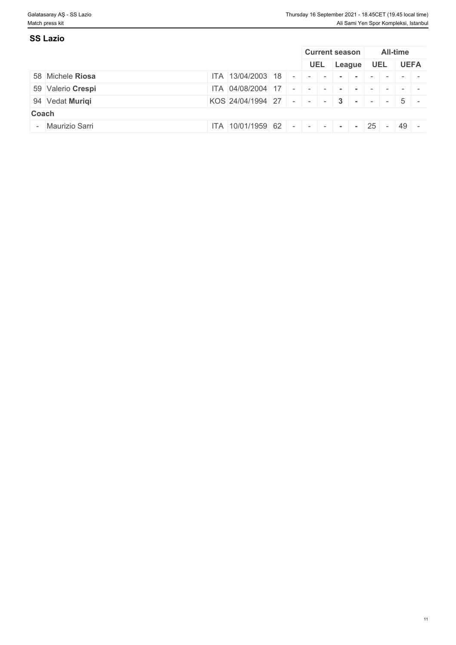| <b>SS Lazio</b>   |                                     |                       |  |            |  |                 |             |
|-------------------|-------------------------------------|-----------------------|--|------------|--|-----------------|-------------|
|                   |                                     | <b>Current season</b> |  |            |  | <b>All-time</b> |             |
|                   |                                     | <b>UEL</b>            |  | League UEL |  |                 | <b>UEFA</b> |
| 58 Michele Riosa  | $ITA$ 13/04/2003 18 -               |                       |  |            |  |                 |             |
| 59 Valerio Crespi | ITA 04/08/2004 17 -                 |                       |  |            |  |                 |             |
| 94 Vedat Muriqi   | KOS 24/04/1994 27 - - - 3 - - - 5 - |                       |  |            |  |                 |             |
| Coach             |                                     |                       |  |            |  |                 |             |
| - Maurizio Sarri  | ITA 10/01/1959 62 - - - - - - - 25  |                       |  |            |  | 49              | $\sim$      |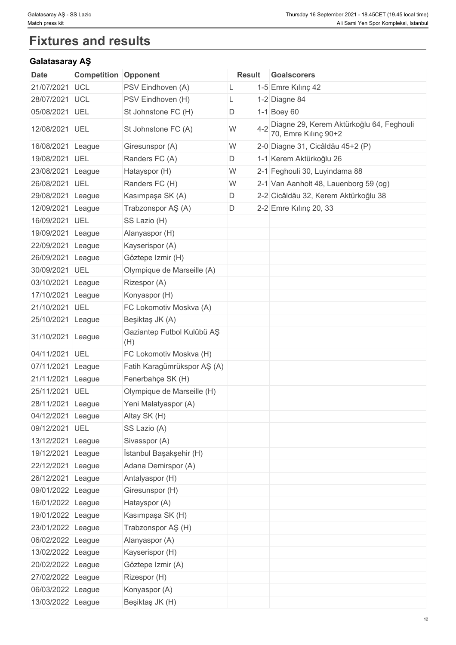# **Fixtures and results**

# **Galatasaray AŞ**

| Date              | <b>Competition Opponent</b> |                                   | <b>Result</b> | <b>Goalscorers</b>                                               |
|-------------------|-----------------------------|-----------------------------------|---------------|------------------------------------------------------------------|
| 21/07/2021        | <b>UCL</b>                  | PSV Eindhoven (A)                 | L             | 1-5 Emre Kılınç 42                                               |
| 28/07/2021        | UCL                         | PSV Eindhoven (H)                 | L             | 1-2 Diagne 84                                                    |
| 05/08/2021        | UEL                         | St Johnstone FC (H)               | D             | 1-1 Boey 60                                                      |
| 12/08/2021 UEL    |                             | St Johnstone FC (A)               | W             | Diagne 29, Kerem Aktürkoğlu 64, Feghouli<br>70, Emre Kılınç 90+2 |
| 16/08/2021 League |                             | Giresunspor (A)                   | W             | 2-0 Diagne 31, Cicâldău 45+2 (P)                                 |
| 19/08/2021 UEL    |                             | Randers FC (A)                    | D             | 1-1 Kerem Aktürkoğlu 26                                          |
| 23/08/2021 League |                             | Hatayspor (H)                     | W             | 2-1 Feghouli 30, Luyindama 88                                    |
| 26/08/2021 UEL    |                             | Randers FC (H)                    | W             | 2-1 Van Aanholt 48, Lauenborg 59 (og)                            |
| 29/08/2021 League |                             | Kasımpaşa SK (A)                  | D             | 2-2 Cicâldău 32, Kerem Aktürkoğlu 38                             |
| 12/09/2021 League |                             | Trabzonspor AŞ (A)                | D             | 2-2 Emre Kılınç 20, 33                                           |
| 16/09/2021 UEL    |                             | SS Lazio (H)                      |               |                                                                  |
| 19/09/2021 League |                             | Alanyaspor (H)                    |               |                                                                  |
| 22/09/2021 League |                             | Kayserispor (A)                   |               |                                                                  |
| 26/09/2021 League |                             | Göztepe Izmir (H)                 |               |                                                                  |
| 30/09/2021 UEL    |                             | Olympique de Marseille (A)        |               |                                                                  |
| 03/10/2021 League |                             | Rizespor (A)                      |               |                                                                  |
| 17/10/2021 League |                             | Konyaspor (H)                     |               |                                                                  |
| 21/10/2021 UEL    |                             | FC Lokomotiv Moskva (A)           |               |                                                                  |
| 25/10/2021 League |                             | Beşiktaş JK (A)                   |               |                                                                  |
| 31/10/2021 League |                             | Gaziantep Futbol Kulübü AŞ<br>(H) |               |                                                                  |
| 04/11/2021 UEL    |                             | FC Lokomotiv Moskva (H)           |               |                                                                  |
| 07/11/2021 League |                             | Fatih Karagümrükspor AŞ (A)       |               |                                                                  |
| 21/11/2021        | League                      | Fenerbahçe SK (H)                 |               |                                                                  |
| 25/11/2021 UEL    |                             | Olympique de Marseille (H)        |               |                                                                  |
| 28/11/2021 League |                             | Yeni Malatyaspor (A)              |               |                                                                  |
| 04/12/2021 League |                             | Altay SK (H)                      |               |                                                                  |
| 09/12/2021 UEL    |                             | SS Lazio (A)                      |               |                                                                  |
| 13/12/2021 League |                             | Sivasspor (A)                     |               |                                                                  |
| 19/12/2021 League |                             | İstanbul Başakşehir (H)           |               |                                                                  |
| 22/12/2021 League |                             | Adana Demirspor (A)               |               |                                                                  |
| 26/12/2021 League |                             | Antalyaspor (H)                   |               |                                                                  |
| 09/01/2022 League |                             | Giresunspor (H)                   |               |                                                                  |
| 16/01/2022 League |                             | Hatayspor (A)                     |               |                                                                  |
| 19/01/2022 League |                             | Kasımpaşa SK (H)                  |               |                                                                  |
| 23/01/2022 League |                             | Trabzonspor AŞ (H)                |               |                                                                  |
| 06/02/2022 League |                             | Alanyaspor (A)                    |               |                                                                  |
| 13/02/2022 League |                             | Kayserispor (H)                   |               |                                                                  |
| 20/02/2022 League |                             | Göztepe Izmir (A)                 |               |                                                                  |
| 27/02/2022 League |                             | Rizespor (H)                      |               |                                                                  |
| 06/03/2022 League |                             | Konyaspor (A)                     |               |                                                                  |
| 13/03/2022 League |                             | Beşiktaş JK (H)                   |               |                                                                  |
|                   |                             |                                   |               |                                                                  |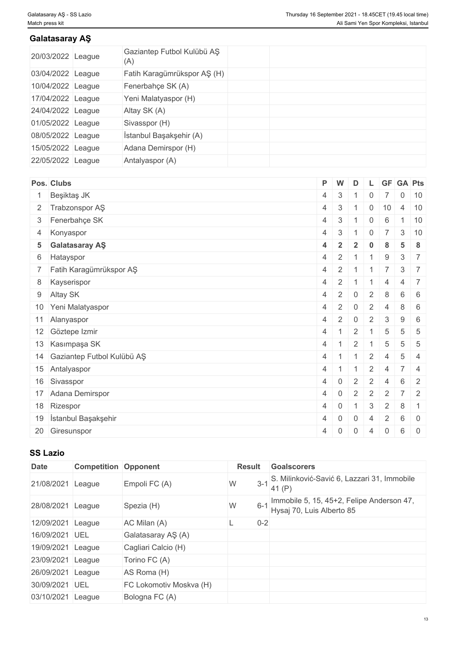### **Galatasaray AŞ**

| 20/03/2022 League | Gaziantep Futbol Kulübü AŞ<br>(A) |  |  |
|-------------------|-----------------------------------|--|--|
| 03/04/2022 League | Fatih Karagümrükspor AŞ (H)       |  |  |
| 10/04/2022 League | Fenerbahçe SK (A)                 |  |  |
| 17/04/2022 League | Yeni Malatyaspor (H)              |  |  |
| 24/04/2022 League | Altay SK (A)                      |  |  |
| 01/05/2022 League | Sivasspor (H)                     |  |  |
| 08/05/2022 League | İstanbul Başakşehir (A)           |  |  |
| 15/05/2022 League | Adana Demirspor (H)               |  |  |
| 22/05/2022 League | Antalyaspor (A)                   |  |  |

| Pos. Clubs                    |                | P W            | D              |                |                | L GF GA Pts     |                                                      |
|-------------------------------|----------------|----------------|----------------|----------------|----------------|-----------------|------------------------------------------------------|
| Beşiktaş JK<br>$\mathbf{1}$   | 4              | $\mathbf{3}$   |                | <sup>0</sup>   |                |                 | $0 \mid 10$                                          |
| 2 Trabzonspor AŞ              |                | $4 \mid 3$     |                | $\mathbf 0$    | 10             | $\overline{4}$  | 10                                                   |
| 3 Fenerbahçe SK               | $\overline{4}$ | 3              |                | 0              | 6              |                 | 10                                                   |
| 4 Konyaspor                   | $\overline{4}$ | 3              |                | $\overline{0}$ | $\overline{7}$ |                 | $3 \mid 10$                                          |
| 5 Galatasaray AŞ              | $\overline{4}$ | $\overline{2}$ | $\overline{2}$ | $\bf{0}$       | -8             | 5               | -8                                                   |
| 6 Hatayspor                   | $\overline{4}$ | 2              |                |                | 9              | 3               | $-7$                                                 |
| 7 Fatih Karagümrükspor AŞ     | $\overline{4}$ | 2              | 1              |                |                | $\mathbf{3}$    | $\overline{7}$                                       |
| 8 Kayserispor                 | $\overline{4}$ | 2              |                |                | $\Delta$       | $\overline{4}$  | $\overline{7}$                                       |
| 9 Altay SK                    | $\overline{4}$ | 2              | $\overline{0}$ | 2              | 8              | $6\phantom{1}$  | - 6                                                  |
| 10 Yeni Malatyaspor           | $\overline{4}$ | $\overline{2}$ | $\overline{0}$ | 2              | $\overline{4}$ | $8 \mid 6$      |                                                      |
| 11 Alanyaspor                 | 4              | 2              | $\overline{0}$ | 2              | 3              | 9               | - 6                                                  |
| 12 Göztepe Izmir              | 4              |                | 2              |                | 5              | 5               | -5                                                   |
| 13 Kasımpaşa SK               |                | $4 \mid 1$     | 2              |                | 5              | 5               | - 5                                                  |
| 14 Gaziantep Futbol Kulübü AŞ | $4 \mid 1$     |                | $\overline{1}$ | $\overline{2}$ | 4              | $5\overline{)}$ | $\overline{4}$                                       |
| 15 Antalyaspor                | 4              |                |                | 2              | $\overline{4}$ | $7 \mid 4$      |                                                      |
| 16 Sivasspor                  | 4              | $\overline{0}$ | $\overline{2}$ | 2              | $\overline{4}$ | 6               | 2                                                    |
| 17 Adana Demirspor            | $\overline{4}$ | $\overline{0}$ | $\overline{2}$ | 2              | 2              |                 | $7 \mid 2$                                           |
| 18   Rizespor                 | 4              | $\overline{0}$ | -1             | $\mathbf{3}$   | $\overline{2}$ | 8               | $\overline{1}$                                       |
| 19 İstanbul Başakşehir        | $\overline{4}$ | $\mathbf 0$    | $\mathbf{0}$   | $\Delta$       | 2              | 6               | $\begin{array}{\sqrt{2}} 0 \end{array}$              |
| 20 Giresunspor                | $\overline{4}$ | $\overline{0}$ | $\overline{0}$ | $\overline{4}$ | $\overline{0}$ | $6\phantom{.}6$ | $\begin{array}{\begin{array}{\small 0} \end{array}}$ |

### **SS Lazio**

| <b>Date</b>       | <b>Competition Opponent</b> |                         | <b>Result</b> |         | <b>Goalscorers</b>                                                     |
|-------------------|-----------------------------|-------------------------|---------------|---------|------------------------------------------------------------------------|
| 21/08/2021        | League                      | Empoli FC (A)           | W             |         | 3-1 S. Milinković-Savić 6, Lazzari 31, Immobile<br>41 $(P)$            |
| 28/08/2021        | League                      | Spezia (H)              | W             | $6 - 1$ | Immobile 5, 15, 45+2, Felipe Anderson 47,<br>Hysaj 70, Luis Alberto 85 |
| 12/09/2021 League |                             | AC Milan (A)            |               | $0 - 2$ |                                                                        |
| 16/09/2021 UEL    |                             | Galatasaray AŞ (A)      |               |         |                                                                        |
| 19/09/2021        | League                      | Cagliari Calcio (H)     |               |         |                                                                        |
| 23/09/2021 League |                             | Torino FC (A)           |               |         |                                                                        |
| 26/09/2021 League |                             | AS Roma (H)             |               |         |                                                                        |
| 30/09/2021 UEL    |                             | FC Lokomotiv Moskva (H) |               |         |                                                                        |
| 03/10/2021 League |                             | Bologna FC (A)          |               |         |                                                                        |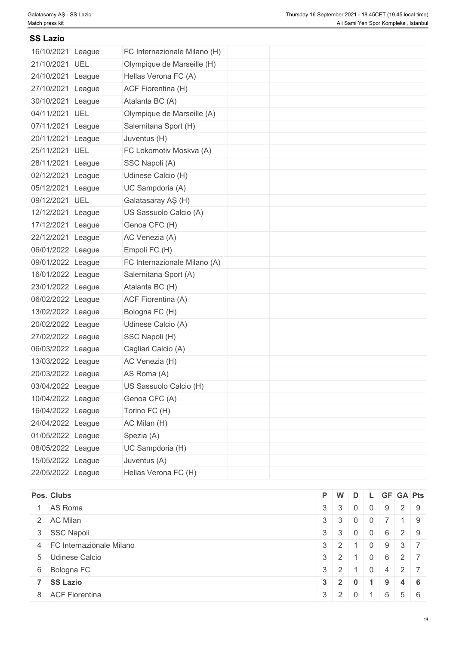| <b>SS Lazio</b>   |            |                              |  |  |  |
|-------------------|------------|------------------------------|--|--|--|
| 16/10/2021        | League     | FC Internazionale Milano (H) |  |  |  |
| 21/10/2021 UEL    |            | Olympique de Marseille (H)   |  |  |  |
| 24/10/2021 League |            | Hellas Verona FC (A)         |  |  |  |
| 27/10/2021        | League     | ACF Fiorentina (H)           |  |  |  |
| 30/10/2021        | League     | Atalanta BC (A)              |  |  |  |
| 04/11/2021 UEL    |            | Olympique de Marseille (A)   |  |  |  |
| 07/11/2021 League |            | Salernitana Sport (H)        |  |  |  |
| 20/11/2021        | League     | Juventus (H)                 |  |  |  |
| 25/11/2021 UEL    |            | FC Lokomotiv Moskva (A)      |  |  |  |
| 28/11/2021 League |            | SSC Napoli (A)               |  |  |  |
| 02/12/2021        | League     | Udinese Calcio (H)           |  |  |  |
| 05/12/2021 League |            | UC Sampdoria (A)             |  |  |  |
| 09/12/2021        | <b>UEL</b> | Galatasaray AŞ (H)           |  |  |  |
| 12/12/2021        | League     | US Sassuolo Calcio (A)       |  |  |  |
| 17/12/2021        | League     | Genoa CFC (H)                |  |  |  |
| 22/12/2021        | League     | AC Venezia (A)               |  |  |  |
| 06/01/2022 League |            | Empoli FC (H)                |  |  |  |
| 09/01/2022 League |            | FC Internazionale Milano (A) |  |  |  |
| 16/01/2022 League |            | Salernitana Sport (A)        |  |  |  |
| 23/01/2022 League |            | Atalanta BC (H)              |  |  |  |
| 06/02/2022 League |            | ACF Fiorentina (A)           |  |  |  |
| 13/02/2022 League |            | Bologna FC (H)               |  |  |  |
| 20/02/2022 League |            | Udinese Calcio (A)           |  |  |  |
| 27/02/2022 League |            | SSC Napoli (H)               |  |  |  |
| 06/03/2022 League |            | Cagliari Calcio (A)          |  |  |  |
| 13/03/2022 League |            | AC Venezia (H)               |  |  |  |
| 20/03/2022 League |            | AS Roma (A)                  |  |  |  |
| 03/04/2022 League |            | US Sassuolo Calcio (H)       |  |  |  |
| 10/04/2022 League |            | Genoa CFC (A)                |  |  |  |
| 16/04/2022 League |            | Torino FC (H)                |  |  |  |
| 24/04/2022 League |            | AC Milan (H)                 |  |  |  |
| 01/05/2022 League |            | Spezia (A)                   |  |  |  |
| 08/05/2022 League |            | UC Sampdoria (H)             |  |  |  |
| 15/05/2022 League |            | Juventus (A)                 |  |  |  |
| 22/05/2022 League |            | Hellas Verona FC (H)         |  |  |  |

| Pos. Clubs                 |                   |                |                |                | $P$ W D L GF GA Pts                                           |  |
|----------------------------|-------------------|----------------|----------------|----------------|---------------------------------------------------------------|--|
| 1 AS Roma                  | $3 \mid 3 \mid 0$ |                | $\overline{0}$ | 9              | $\begin{array}{c c c c c} \hline 2 & 9 \\ \hline \end{array}$ |  |
| 2 AC Milan                 | $3 \mid 3 \mid$   | $\overline{0}$ |                |                | $1 \quad 9$                                                   |  |
| 3 SSC Napoli               | $3 \mid 3 \mid$   | $\overline{0}$ | $\overline{0}$ | 6              | 2 9                                                           |  |
| 4 FC Internazionale Milano | $3 \mid 2 \mid$   |                |                | 9              | $3 \mid 7$                                                    |  |
| 5 Udinese Calcio           | $3 \mid 2 \mid$   |                | $\overline{0}$ |                | $6 \quad 2 \quad 7$                                           |  |
| 6 Bologna FC               | $3 \mid 2 \mid$   |                | $\overline{0}$ | 4              | $\begin{array}{c c c c c} \hline 2 & 7 \\ \hline \end{array}$ |  |
| 7 SS Lazio                 | $3 \mid 2 \mid$   | 0              |                | 9              | $4 \mid 6$                                                    |  |
| 8 ACF Fiorentina           | $3 \mid 2 \mid 0$ |                |                | 5 <sup>1</sup> | $5 \quad 6$                                                   |  |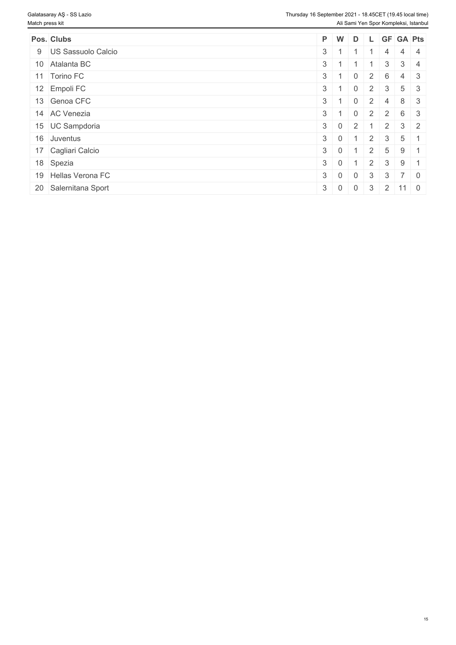| Pos. Clubs           | $P$ W      |            | D              |                      |                | L GF GA Pts               |            |
|----------------------|------------|------------|----------------|----------------------|----------------|---------------------------|------------|
| 9 US Sassuolo Calcio | $3 \mid 1$ |            |                |                      | $\overline{4}$ |                           | $4 \mid 4$ |
| 10 Atalanta BC       | $3 \mid 1$ |            |                |                      | 3              |                           | $3 \mid 4$ |
| 11 Torino FC         | $3 \mid 1$ |            | $\overline{0}$ | $2^{\circ}$          | 6              |                           | $4 \mid 3$ |
| 12 Empoli FC         | $3 \mid 1$ |            | $\overline{0}$ | $2^{\circ}$          | $\mathbf{3}$   |                           | $5 \mid 3$ |
| 13 Genoa CFC         | $3 \mid 1$ |            | $\mathbf{0}$   | $\overline{2}$       | 4              |                           | $8 \mid 3$ |
| 14 AC Venezia        | $3 \mid 1$ |            | $\Omega$       | $2^{\circ}$          | 2              |                           | 6 3        |
| 15 UC Sampdoria      | $3 \mid 0$ |            | 2              |                      | $\overline{2}$ |                           | $3 \mid 2$ |
| 16 Juventus          | $3 \mid 0$ |            |                | $\mathbf{-}$   2   . | $\mathcal{S}$  | $5 \mid 1$                |            |
| 17 Cagliari Calcio   | $3 \mid 0$ |            |                | $\overline{2}$       | 5              | $9 \mid 1$                |            |
| 18 Spezia            | $3 \mid 0$ |            |                | 2                    | $\mathbf{3}$   | $9 \mid 1$                |            |
| 19 Hellas Verona FC  | $3 \mid 0$ |            | $\overline{0}$ | $\mathbf{3}$         | $\mathbf{3}$   |                           | $7 \mid 0$ |
| 20 Salernitana Sport |            | $3 \mid 0$ | $\overline{0}$ |                      |                | $3 \mid 2 \mid 11 \mid 0$ |            |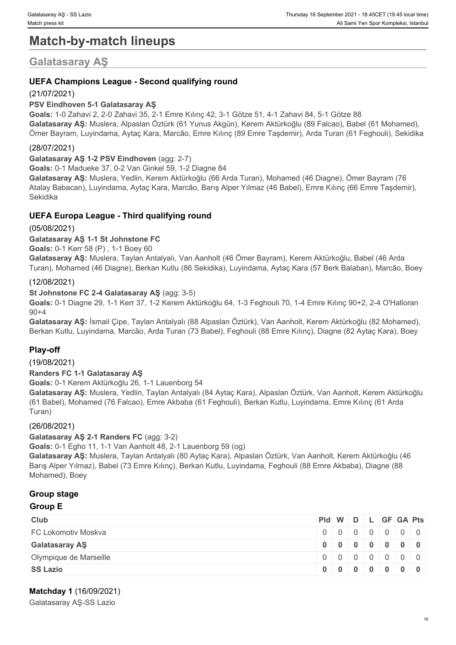# **Match-by-match lineups**

# **Galatasaray AŞ**

#### **UEFA Champions League - Second qualifying round**

#### (21/07/2021)

#### **PSV Eindhoven 5-1 Galatasaray AŞ**

**Goals:** 1-0 Zahavi 2, 2-0 Zahavi 35, 2-1 Emre Kılınç 42, 3-1 Götze 51, 4-1 Zahavi 84, 5-1 Götze 88 **Galatasaray AŞ:** Muslera, Alpaslan Öztürk (61 Yunus Akgün), Kerem Aktürkoğlu (89 Falcao), Babel (61 Mohamed), Ömer Bayram, Luyindama, Aytaç Kara, Marcão, Emre Kılınç (89 Emre Taşdemir), Arda Turan (61 Feghouli), Sekidika

#### (28/07/2021)

**Galatasaray AŞ 1-2 PSV Eindhoven** (agg: 2-7)

**Goals:** 0-1 Madueke 37, 0-2 Van Ginkel 59, 1-2 Diagne 84

**Galatasaray AŞ:** Muslera, Yedlin, Kerem Aktürkoğlu (66 Arda Turan), Mohamed (46 Diagne), Ömer Bayram (76 Atalay Babacan), Luyindama, Aytaç Kara, Marcão, Barış Alper Yılmaz (46 Babel), Emre Kılınç (66 Emre Taşdemir), Sekidika

#### **UEFA Europa League - Third qualifying round**

(05/08/2021)

#### **Galatasaray AŞ 1-1 St Johnstone FC**

**Goals:** 0-1 Kerr 58 (P) , 1-1 Boey 60

**Galatasaray AŞ:** Muslera, Taylan Antalyalı, Van Aanholt (46 Ömer Bayram), Kerem Aktürkoğlu, Babel (46 Arda Turan), Mohamed (46 Diagne), Berkan Kutlu (86 Sekidika), Luyindama, Aytaç Kara (57 Berk Balaban), Marcão, Boey

#### (12/08/2021)

#### **St Johnstone FC 2-4 Galatasaray AŞ** (agg: 3-5)

**Goals:** 0-1 Diagne 29, 1-1 Kerr 37, 1-2 Kerem Aktürkoğlu 64, 1-3 Feghouli 70, 1-4 Emre Kılınç 90+2, 2-4 O'Halloran 90+4

**Galatasaray AŞ:** İsmail Çipe, Taylan Antalyalı (88 Alpaslan Öztürk), Van Aanholt, Kerem Aktürkoğlu (82 Mohamed), Berkan Kutlu, Luyindama, Marcão, Arda Turan (73 Babel), Feghouli (88 Emre Kılınç), Diagne (82 Aytaç Kara), Boey

#### **Play-off**

(19/08/2021)

**Randers FC 1-1 Galatasaray AŞ**

**Goals:** 0-1 Kerem Aktürkoğlu 26, 1-1 Lauenborg 54

**Galatasaray AŞ:** Muslera, Yedlin, Taylan Antalyalı (84 Aytaç Kara), Alpaslan Öztürk, Van Aanholt, Kerem Aktürkoğlu (61 Babel), Mohamed (76 Falcao), Emre Akbaba (61 Feghouli), Berkan Kutlu, Luyindama, Emre Kılınç (61 Arda Turan)

#### (26/08/2021)

**Galatasaray AŞ 2-1 Randers FC** (agg: 3-2)

**Goals:** 0-1 Egho 11, 1-1 Van Aanholt 48, 2-1 Lauenborg 59 (og)

**Galatasaray AŞ:** Muslera, Taylan Antalyalı (80 Aytaç Kara), Alpaslan Öztürk, Van Aanholt, Kerem Aktürkoğlu (46 Barış Alper Yılmaz), Babel (73 Emre Kılınç), Berkan Kutlu, Luyindama, Feghouli (88 Emre Akbaba), Diagne (88 Mohamed), Boey

### **Group stage**

#### **Group E**

| <b>Club</b>            | Pid W D L GF GA Pts |  |  |  |
|------------------------|---------------------|--|--|--|
| FC Lokomotiv Moskva    | 0 0 0 0 0 0 0 0     |  |  |  |
| <b>Galatasaray AS</b>  | 0 0 0 0 0 0 0 0 0   |  |  |  |
| Olympique de Marseille | 0 0 0 0 0 0 0 0     |  |  |  |
| <b>SS Lazio</b>        | 0 0 0 0 0 0 0 0 0   |  |  |  |

#### **Matchday 1** (16/09/2021)

Galatasaray AŞ-SS Lazio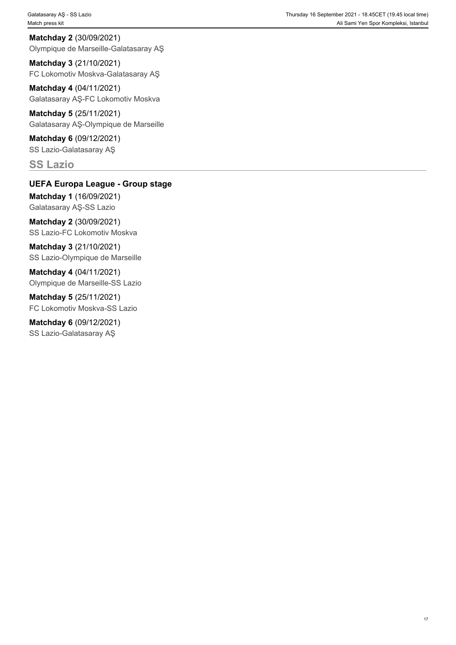**Matchday 2** (30/09/2021) Olympique de Marseille-Galatasaray AŞ

**Matchday 3** (21/10/2021) FC Lokomotiv Moskva-Galatasaray AŞ

**Matchday 4** (04/11/2021) Galatasaray AŞ-FC Lokomotiv Moskva

**Matchday 5** (25/11/2021) Galatasaray AŞ-Olympique de Marseille

**Matchday 6** (09/12/2021) SS Lazio-Galatasaray AŞ

**SS Lazio**

## **UEFA Europa League - Group stage**

**Matchday 1** (16/09/2021) Galatasaray AŞ-SS Lazio

**Matchday 2** (30/09/2021) SS Lazio-FC Lokomotiv Moskva

**Matchday 3** (21/10/2021) SS Lazio-Olympique de Marseille

**Matchday 4** (04/11/2021) Olympique de Marseille-SS Lazio

**Matchday 5** (25/11/2021) FC Lokomotiv Moskva-SS Lazio

**Matchday 6** (09/12/2021) SS Lazio-Galatasaray AŞ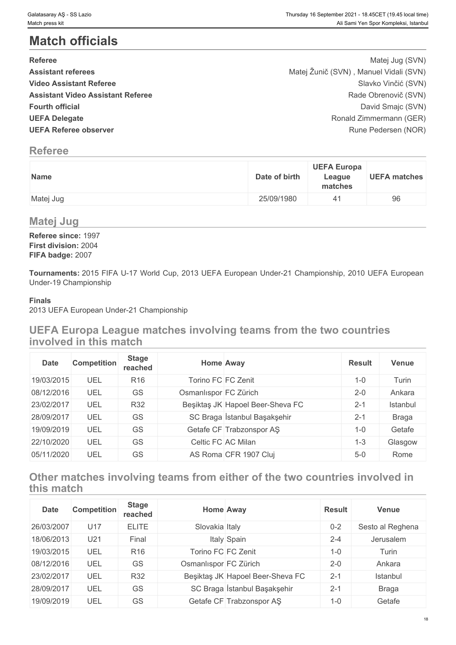# **Match officials**

| <b>Referee</b>                           | Matej Jug (SVN)                        |
|------------------------------------------|----------------------------------------|
| <b>Assistant referees</b>                | Matej Žunič (SVN), Manuel Vidali (SVN) |
| <b>Video Assistant Referee</b>           | Slavko Vinčić (SVN)                    |
| <b>Assistant Video Assistant Referee</b> | Rade Obrenovič (SVN)                   |
| <b>Fourth official</b>                   | David Smajc (SVN)                      |
| <b>UEFA Delegate</b>                     | Ronald Zimmermann (GER)                |
| <b>UEFA Referee observer</b>             | Rune Pedersen (NOR)                    |

# **Referee**

| Name      | <b>UEFA Europa</b><br>Date of birth<br>League<br>matches |
|-----------|----------------------------------------------------------|
| Matej Jug | 25/09/1980                                               |

## **Matej Jug**

**Referee since:** 1997 **First division:** 2004 **FIFA badge:** 2007

**Tournaments:** 2015 FIFA U-17 World Cup, 2013 UEFA European Under-21 Championship, 2010 UEFA European Under-19 Championship

#### **Finals**

2013 UEFA European Under-21 Championship

# **UEFA Europa League matches involving teams from the two countries involved in this match**

| <b>Date</b> | <b>Competition</b> | <b>Stage</b><br>reached | <b>Home Away</b>      |                                  | <b>Result</b> | <b>Venue</b> |
|-------------|--------------------|-------------------------|-----------------------|----------------------------------|---------------|--------------|
| 19/03/2015  | UEL                | R <sub>16</sub>         | Torino FC FC Zenit    |                                  | $1 - 0$       | Turin        |
| 08/12/2016  | UEL                | GS                      | Osmanlıspor FC Zürich |                                  | $2 - 0$       | Ankara       |
| 23/02/2017  | UEL                | <b>R32</b>              |                       | Beşiktaş JK Hapoel Beer-Sheva FC | $2 - 1$       | Istanbul     |
| 28/09/2017  | UEL                | GS                      |                       | SC Braga Istanbul Başakşehir     | $2 - 1$       | <b>Braga</b> |
| 19/09/2019  | UEL                | GS                      |                       | Getafe CF Trabzonspor AS         | $1 - 0$       | Getafe       |
| 22/10/2020  | UEL                | GS                      |                       | Celtic FC AC Milan               | $1 - 3$       | Glasgow      |
| 05/11/2020  | UEL                | GS                      |                       | AS Roma CFR 1907 Cluj            | $5-0$         | Rome         |

# **Other matches involving teams from either of the two countries involved in this match**

| <b>Date</b> | <b>Competition</b> | <b>Stage</b><br>reached |                       | <b>Home Away</b>                 | <b>Result</b> | <b>Venue</b>     |
|-------------|--------------------|-------------------------|-----------------------|----------------------------------|---------------|------------------|
| 26/03/2007  | U17                | <b>ELITE</b>            | Slovakia Italy        |                                  | $0 - 2$       | Sesto al Reghena |
| 18/06/2013  | U21                | Final                   |                       | Italy Spain                      | $2 - 4$       | Jerusalem        |
| 19/03/2015  | UEL                | R <sub>16</sub>         | Torino FC FC Zenit    |                                  | $1 - 0$       | Turin            |
| 08/12/2016  | UEL                | GS                      | Osmanlıspor FC Zürich |                                  | $2 - 0$       | Ankara           |
| 23/02/2017  | UEL                | <b>R32</b>              |                       | Beşiktaş JK Hapoel Beer-Sheva FC | $2 - 1$       | Istanbul         |
| 28/09/2017  | UEL                | GS                      |                       | SC Braga İstanbul Başakşehir     | $2 - 1$       | Braga            |
| 19/09/2019  | UEL                | GS                      |                       | Getafe CF Trabzonspor AŞ         | $1 - 0$       | Getafe           |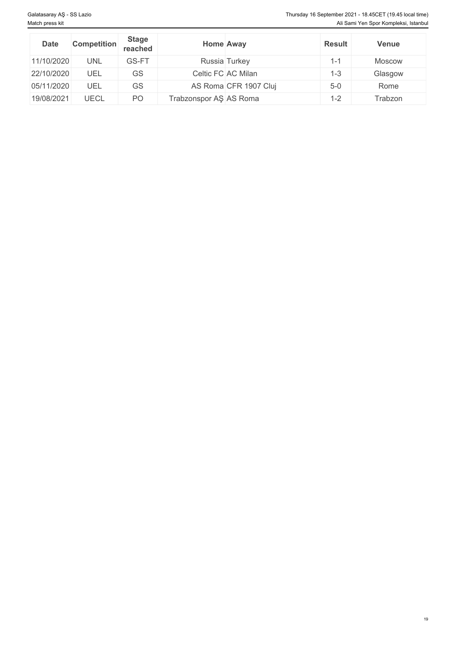| <b>Date</b> | <b>Competition</b> | <b>Stage</b><br>reached |                        | <b>Home Away</b>      | <b>Result</b> | <b>Venue</b>  |
|-------------|--------------------|-------------------------|------------------------|-----------------------|---------------|---------------|
| 11/10/2020  | <b>UNL</b>         | GS-FT                   |                        | Russia Turkey         | 1-1           | <b>Moscow</b> |
| 22/10/2020  | UEL                | GS                      |                        | Celtic FC AC Milan    | $1 - 3$       | Glasgow       |
| 05/11/2020  | UEL                | GS                      |                        | AS Roma CFR 1907 Cluj | $5-0$         | Rome          |
| 19/08/2021  | <b>UECL</b>        | PO                      | Trabzonspor AŞ AS Roma |                       | $1 - 2$       | Trabzon       |